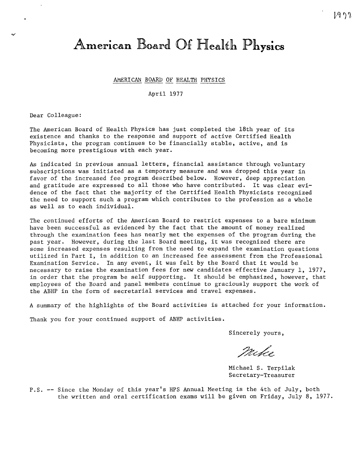# **American Board Of Health Physics**

## AMERICAN BOARD OF HEALTH PHYSICS

April 1977

Dear Colleague:

The American Board of Health Physics has just completed the 18th year of its existence and thanks to the response and support of active Certified Health Physicists, the program continues to be financially stable, active, and is becoming more prestigious with each year.

As indicated in previous annual letters, financial assistance through voluntary subscriptions was initiated as a temporary measure and was dropped this year in favor of the increased fee program described below. However, deep appreciation and gratitude are expressed to all those who have contributed. It was clear evidence of the fact that the majority of the Certified Health Physicists recognized the need to support such a program which contributes to the profession as a whole as well as to each individual.

The continued efforts of the American Board to restrict expenses to a bare minimum have been successful as evidenced by the fact that the amount of money realized through the examination fees has nearly met the expenses of the program during the past year. However, during the last Board meeting, it was recognized there are some increased expenses resulting from the need to expand the examination questions utilized in Part I, in addition to an increased fee assessment from the Professional Examination Service. In any event, it was felt by the Board that it would be necessary to raise the examination fees for new candidates effective January 1, 1977, in order that the program be self supporting. It should be emphasized, however, that employees of the Board and panel members continue to graciously support the work of the ABHP in the form of secretarial services and travel expenses.

A summary of the highlights of the Board activities is attached for your information.

Thank you for your continued support of ABHP activities.

Sincerely yours,

milio

Michael S. Terpilak Secretary-Treasurer

P.S. -- Since the Monday of this year's HPS Annual Meeting is the 4th of July, both the written and oral certification exams will be given on Friday, July 8, 1977.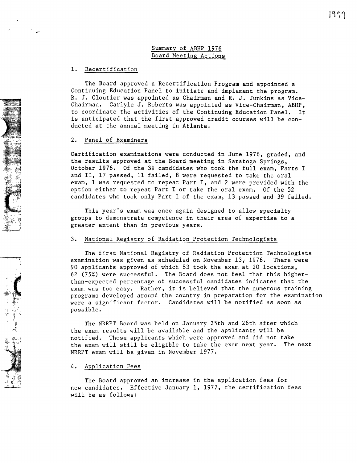## Summary of ABHP 1976 Board Meeting Actions

## 1, Recertification

The Board approved a Recertification Program and appointed a Continuing Education Panel to initiate and implement the program. R, J, Cloutier was appointed as Chairman and R, J, Junkins as Vice-Chairman, Carlyle J, Roberts was appointed as Vice-Chairman, ABHP, to coordinate the activities of the Continuing Education Panel, It is anticipated that the first approved credit courses will be conducted at the annual meeting in Atlanta.

## 2. Panel of Examiners

Certification examinations were conducted in June 1976, graded, and the results approved at the Board meeting in Saratoga Springs, October 1976. Of the 39 candidates who took the full exam, Parts I and II, 17 passed, 11 failed, 8 were requested to take the oral exam, 1 was requested to repeat Part I, and 2 were provided with the option either to repeat Part I or take the oral exam. Of the 52 candidates who took only Part I of the exam, 13 passed and 39 failed.

This year's exam was once again designed to allow specialty groups to demonstrate competence in their area of expertise to a greater extent than in previous years.

## 3. National Registry of Radiation Protection Technologists

The first National Registry of Radiation Protection Technologists examination was given as scheduled on November 13; 1976. There were 90 applicants approved of which 83 took the exam at 20 locations, 62 (75%) were successful. The Board does not feel that this higherthan-expected percentage of successful candidates indicates that the exam was too easy. Rather, it is believed that the numerous training programs developed around the country in preparation for the examination were a significant factor. Candidates will be notified as soon as possible.

The NRRPT Board was held on January 25th and 26th after which the exam results will be available and the applicants will be notified. Those applicants which were approved and did not take the exam will still be eligible to take the exam next year. The next NRRPT exam will be given in November 1977.

#### 4. Application Fees

The Board approved an increase in the application fees for new candidates. Effective January 1, 1977, the certification fees will be as follows: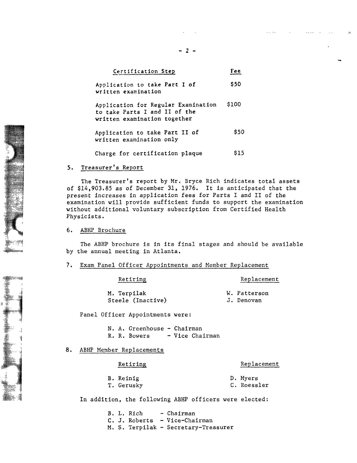| Certification Step                                                                                   | Fee   |
|------------------------------------------------------------------------------------------------------|-------|
| Application to take Part I of<br>written examination                                                 | \$50  |
| Application for Regular Examination<br>to take Parts I and II of the<br>written examination together | \$100 |
| Application to take Part II of<br>written examination only                                           | \$50  |
| Charge for certification plaque                                                                      | S15.  |

## 5. Treasurer's Report

The Treasurer's report by Mr. Bryce Rich indicates total assets of \$14,903.85 as of December 31, 1976. It is anticipated that the present increases in application fees for Parts I and II of the examination will provide sufficient funds to support the examination without additional voluntary subscription from Certified Health Physicists.

## 6. ABHP Brochure

The ABHP brochure is in its final stages and should be available by the annual meeting in Atlanta.

## 7. Exam Panel Officer Appointments and Member Replacement

Retiring

Replacement

M. Terpilak Steele (Inactive) W. Patterson J. Denovan

Panel Officer Appointments were:

N. A. Greenhouse - Chairman R. R. Bowers - Vice Chairman

8. ABHP Member Replacements

Retiring

## Replacement

B. Reinig T. Gerusky D. Myers C. Roessler

In addition, the following ABHP officers were elected:

B. L. Rich - Chairman C. J. Roberts - Vice-Chairman M. S. Terpilak - Secretary-Treasurer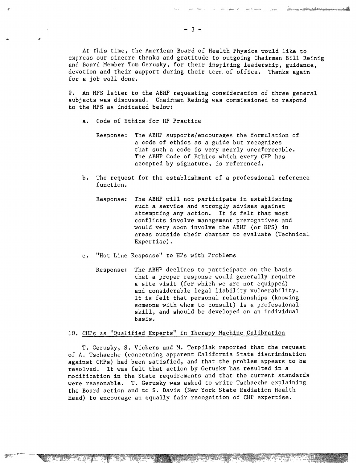At this time, the American Board of Health Physics would like to express our sincere thanks and gratitude to outgoing Chairman Bill Reinig and Board Member Tom Gerusky, for their inspiring leadership, guidance, devotion and their support during their term of office, Thanks again for a job well done,

9, An RPS letter to the ABHP requesting consideration of three general subjects was discussed. Chairman Reinig was commissioned to respond to the RPS as indicated below:

a. Code of Ethics for HP Practice

,.

- Response: The ABHP supports/encourages the formulation of a code of ethics as a guide but recognizes that such a code is very nearly unenforceable. The ABHP Code of Ethics which every CHP has accepted by signature, is referenced.
- b. The request for the establishment of a professional reference function.
	- Response: The ABHP will not participate in establishing such a service and strongly advises against attempting any action. It is felt that most conflicts involve management prerogatives and would very soon involve the ABHP (or RPS) in areas outside their charter to evaluate (Technical Expertise).
- c. "Hot Line Response" to HPs with Problems
	- Response: The ABHP declines to participate on the basis that a proper response would generally require a site visit (for which we are not equipped) and considerable legal liability vulnerability. It is felt that personal relationships (knowing someone with whom to consult) is a professional skill, and should be developed on an individual basis.

## 10. CHPs as "Qualified Experts" in Therapy Machine Calibration

T. Gerusky, S. Vickers and M. Terpilak reported that the request of A. Tschaeche (concerning apparent California State discrimination against CHPs) had been satisfied, and that the problem appears to be resolved. It was felt that action by Gerusky has resulted in a modification in the State requirements and that the current standards were reasonable. T. Gerusky was asked to write Tschaeche explaining the Board action and to S. Davis (New York State Radiation Health Head) to encourage an equally fair recognition of CHP expertise.